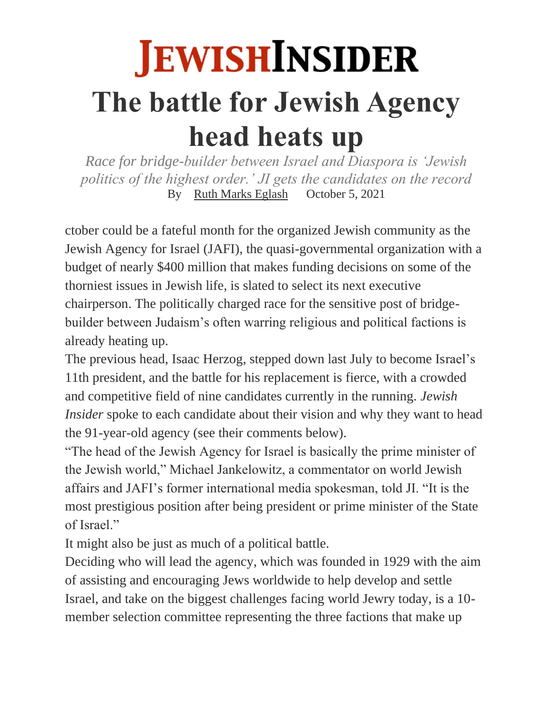# **JEWISH INSIDER The battle for Jewish Agency head heats up**

*Race for bridge-builder between Israel and Diaspora is 'Jewish politics of the highest order.' JI gets the candidates on the record* By [Ruth Marks Eglash](https://jewishinsider.com/authors/ruth-eglash/) October 5, 2021

ctober could be a fateful month for the organized Jewish community as the Jewish Agency for Israel (JAFI), the quasi-governmental organization with a budget of nearly \$400 million that makes funding decisions on some of the thorniest issues in Jewish life, is slated to select its next executive chairperson. The politically charged race for the sensitive post of bridgebuilder between Judaism's often warring religious and political factions is already heating up.

The previous head, Isaac Herzog, stepped down last July to become Israel's 11th president, and the battle for his replacement is fierce, with a crowded and competitive field of nine candidates currently in the running. *Jewish Insider* spoke to each candidate about their vision and why they want to head the 91-year-old agency (see their comments below).

"The head of the Jewish Agency for Israel is basically the prime minister of the Jewish world," Michael Jankelowitz, a commentator on world Jewish affairs and JAFI's former international media spokesman, told JI. "It is the most prestigious position after being president or prime minister of the State of Israel."

It might also be just as much of a political battle.

Deciding who will lead the agency, which was founded in 1929 with the aim of assisting and encouraging Jews worldwide to help develop and settle Israel, and take on the biggest challenges facing world Jewry today, is a 10 member selection committee representing the three factions that make up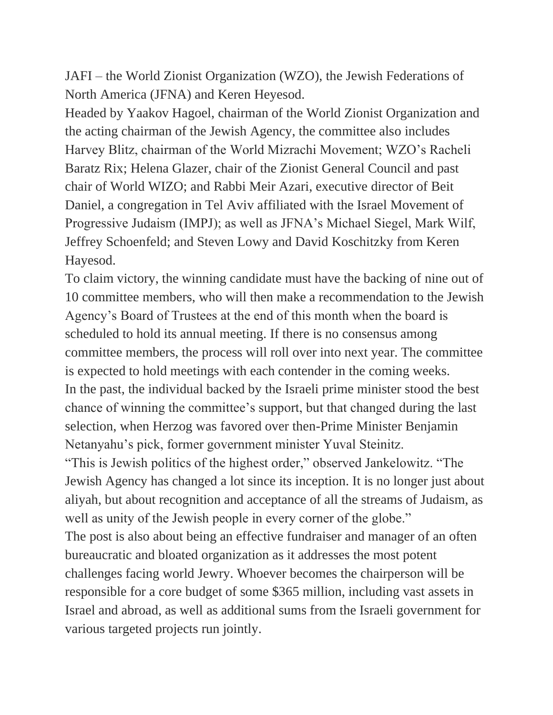JAFI – the World Zionist Organization (WZO), the Jewish Federations of North America (JFNA) and Keren Heyesod.

Headed by Yaakov Hagoel, chairman of the World Zionist Organization and the acting chairman of the Jewish Agency, the committee also includes Harvey Blitz, chairman of the World Mizrachi Movement; WZO's Racheli Baratz Rix; Helena Glazer, chair of the Zionist General Council and past chair of World WIZO; and Rabbi Meir Azari, executive director of Beit Daniel, a congregation in Tel Aviv affiliated with the Israel Movement of Progressive Judaism (IMPJ); as well as JFNA's Michael Siegel, Mark Wilf, Jeffrey Schoenfeld; and Steven Lowy and David Koschitzky from Keren Hayesod.

To claim victory, the winning candidate must have the backing of nine out of 10 committee members, who will then make a recommendation to the Jewish Agency's Board of Trustees at the end of this month when the board is scheduled to hold its annual meeting. If there is no consensus among committee members, the process will roll over into next year. The committee is expected to hold meetings with each contender in the coming weeks. In the past, the individual backed by the Israeli prime minister stood the best chance of winning the committee's support, but that changed during the last selection, when Herzog was favored over then-Prime Minister Benjamin Netanyahu's pick, former government minister Yuval Steinitz.

"This is Jewish politics of the highest order," observed Jankelowitz. "The Jewish Agency has changed a lot since its inception. It is no longer just about aliyah, but about recognition and acceptance of all the streams of Judaism, as well as unity of the Jewish people in every corner of the globe." The post is also about being an effective fundraiser and manager of an often bureaucratic and bloated organization as it addresses the most potent challenges facing world Jewry. Whoever becomes the chairperson will be responsible for a core budget of some \$365 million, including vast assets in Israel and abroad, as well as additional sums from the Israeli government for various targeted projects run jointly.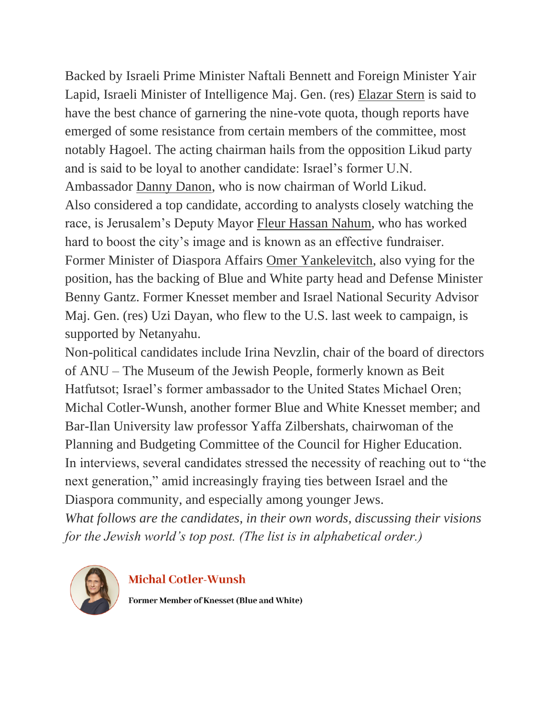Backed by Israeli Prime Minister Naftali Bennett and Foreign Minister Yair Lapid, Israeli Minister of Intelligence Maj. Gen. (res) [Elazar Stern](https://www.jpost.com/israel-news/bennett-plunges-into-jewish-agency-race-for-stern-678813) is said to have the best chance of garnering the nine-vote quota, though reports have emerged of some resistance from certain members of the committee, most notably Hagoel. The acting chairman hails from the opposition Likud party and is said to be loyal to another candidate: Israel's former U.N. Ambassador [Danny Danon,](https://www.jpost.com/diaspora/is-israel-the-center-of-jewish-life-679630) who is now chairman of World Likud. Also considered a top candidate, according to analysts closely watching the race, is Jerusalem's Deputy Mayor [Fleur Hassan Nahum,](https://www.jpost.com/israel-news/dark-horse-candidate-aims-to-revamp-jewish-agency-680744) who has worked hard to boost the city's image and is known as an effective fundraiser. Former Minister of Diaspora Affairs [Omer Yankelevitch,](https://jewishinsider.com/2020/11/omer-yankelevitch-diaspora-israel/) also vying for the position, has the backing of Blue and White party head and Defense Minister Benny Gantz. Former Knesset member and Israel National Security Advisor Maj. Gen. (res) Uzi Dayan, who flew to the U.S. last week to campaign, is supported by Netanyahu.

Non-political candidates include Irina Nevzlin, chair of the board of directors of ANU – The Museum of the Jewish People, formerly known as Beit Hatfutsot; Israel's former ambassador to the United States Michael Oren; Michal Cotler-Wunsh, another former Blue and White Knesset member; and Bar-Ilan University law professor Yaffa Zilbershats, chairwoman of the Planning and Budgeting Committee of the Council for Higher Education. In interviews, several candidates stressed the necessity of reaching out to "the next generation," amid increasingly fraying ties between Israel and the Diaspora community, and especially among younger Jews.

*What follows are the candidates, in their own words, discussing their visions for the Jewish world's top post. (The list is in alphabetical order.)*



#### **Michal Cotler-Wunsh**

Former Member of Knesset (Blue and White)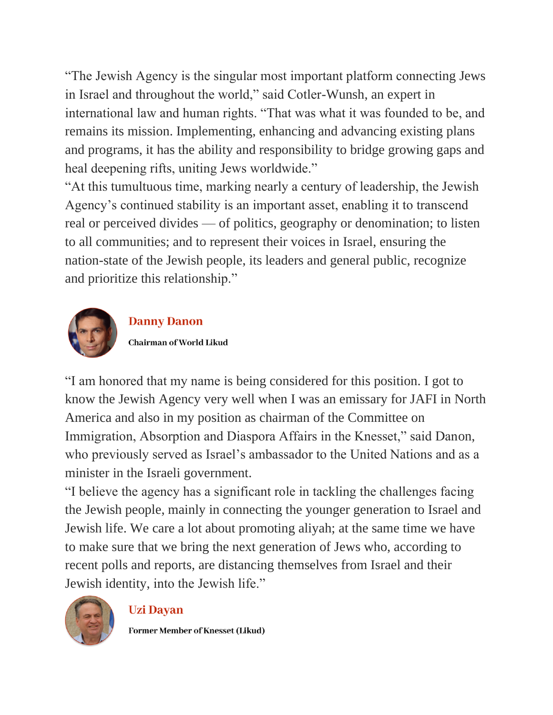"The Jewish Agency is the singular most important platform connecting Jews in Israel and throughout the world," said Cotler-Wunsh, an expert in international law and human rights. "That was what it was founded to be, and remains its mission. Implementing, enhancing and advancing existing plans and programs, it has the ability and responsibility to bridge growing gaps and heal deepening rifts, uniting Jews worldwide."

"At this tumultuous time, marking nearly a century of leadership, the Jewish Agency's continued stability is an important asset, enabling it to transcend real or perceived divides — of politics, geography or denomination; to listen to all communities; and to represent their voices in Israel, ensuring the nation-state of the Jewish people, its leaders and general public, recognize and prioritize this relationship."



### **Danny Danon**

Chairman of World Likud

"I am honored that my name is being considered for this position. I got to know the Jewish Agency very well when I was an emissary for JAFI in North America and also in my position as chairman of the Committee on Immigration, Absorption and Diaspora Affairs in the Knesset," said Danon, who previously served as Israel's ambassador to the United Nations and as a minister in the Israeli government.

"I believe the agency has a significant role in tackling the challenges facing the Jewish people, mainly in connecting the younger generation to Israel and Jewish life. We care a lot about promoting aliyah; at the same time we have to make sure that we bring the next generation of Jews who, according to recent polls and reports, are distancing themselves from Israel and their Jewish identity, into the Jewish life."



#### **Uzi Dayan**

Former Member of Knesset (Likud)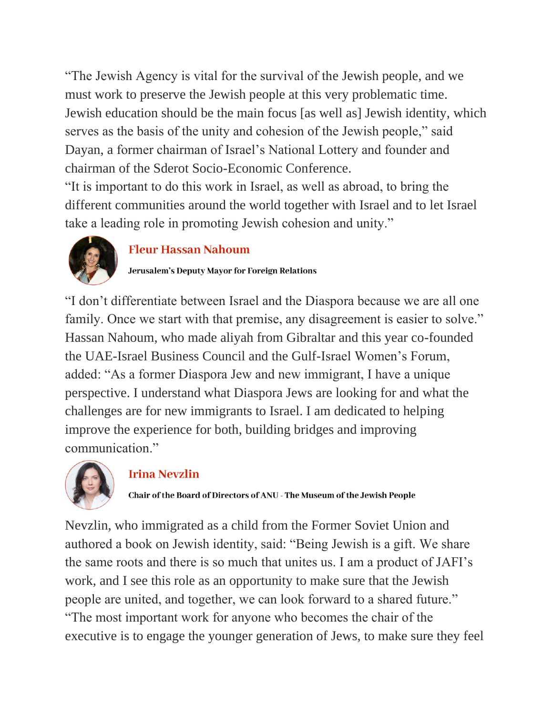"The Jewish Agency is vital for the survival of the Jewish people, and we must work to preserve the Jewish people at this very problematic time. Jewish education should be the main focus [as well as] Jewish identity, which serves as the basis of the unity and cohesion of the Jewish people," said Dayan, a former chairman of Israel's National Lottery and founder and chairman of the Sderot Socio-Economic Conference.

"It is important to do this work in Israel, as well as abroad, to bring the different communities around the world together with Israel and to let Israel take a leading role in promoting Jewish cohesion and unity."



### **Fleur Hassan Nahoum**

Jerusalem's Deputy Mayor for Foreign Relations

"I don't differentiate between Israel and the Diaspora because we are all one family. Once we start with that premise, any disagreement is easier to solve." Hassan Nahoum, who made aliyah from Gibraltar and this year co-founded the UAE-Israel Business Council and the Gulf-Israel Women's Forum, added: "As a former Diaspora Jew and new immigrant, I have a unique perspective. I understand what Diaspora Jews are looking for and what the challenges are for new immigrants to Israel. I am dedicated to helping improve the experience for both, building bridges and improving communication."



## **Irina Nevzlin**

Chair of the Board of Directors of ANU - The Museum of the Jewish People

Nevzlin, who immigrated as a child from the Former Soviet Union and authored a book on Jewish identity, said: "Being Jewish is a gift. We share the same roots and there is so much that unites us. I am a product of JAFI's work, and I see this role as an opportunity to make sure that the Jewish people are united, and together, we can look forward to a shared future." "The most important work for anyone who becomes the chair of the executive is to engage the younger generation of Jews, to make sure they feel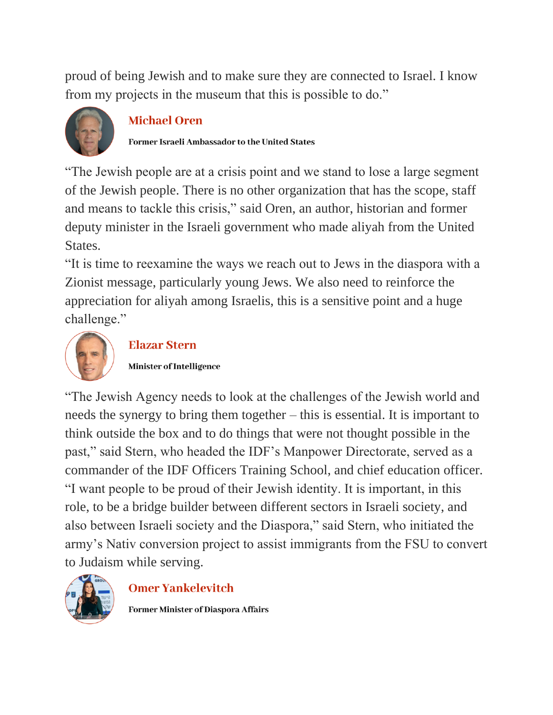proud of being Jewish and to make sure they are connected to Israel. I know from my projects in the museum that this is possible to do."



### **Michael Oren**

Former Israeli Ambassador to the United States

"The Jewish people are at a crisis point and we stand to lose a large segment of the Jewish people. There is no other organization that has the scope, staff and means to tackle this crisis," said Oren, an author, historian and former deputy minister in the Israeli government who made aliyah from the United **States** 

"It is time to reexamine the ways we reach out to Jews in the diaspora with a Zionist message, particularly young Jews. We also need to reinforce the appreciation for aliyah among Israelis, this is a sensitive point and a huge challenge."



# **Elazar Stern**

Minister of Intelligence

"The Jewish Agency needs to look at the challenges of the Jewish world and needs the synergy to bring them together – this is essential. It is important to think outside the box and to do things that were not thought possible in the past," said Stern, who headed the IDF's Manpower Directorate, served as a commander of the IDF Officers Training School, and chief education officer. "I want people to be proud of their Jewish identity. It is important, in this role, to be a bridge builder between different sectors in Israeli society, and also between Israeli society and the Diaspora," said Stern, who initiated the army's Nativ conversion project to assist immigrants from the FSU to convert to Judaism while serving.



## **Omer Yankelevitch**

Former Minister of Diaspora Affairs